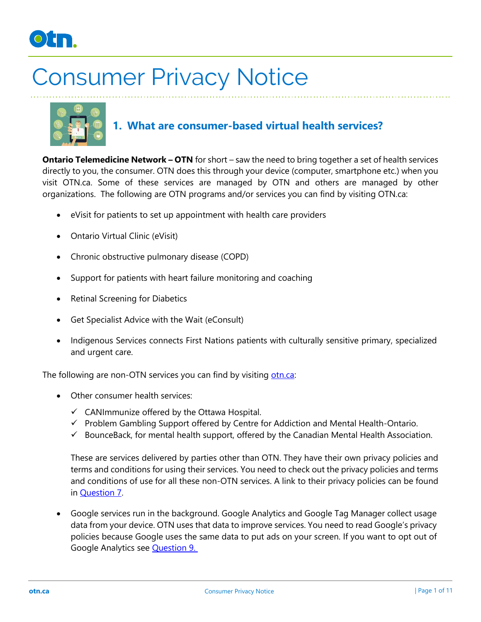



### **1. What are consumer-based virtual health services?**

**Ontario Telemedicine Network – OTN** for short – saw the need to bring together a set of health services directly to you, the consumer. OTN does this through your device (computer, smartphone etc.) when you visit OTN.ca. Some of these services are managed by OTN and others are managed by other organizations. The following are OTN programs and/or services you can find by visiting OTN.ca:

- eVisit for patients to set up appointment with health care providers
- Ontario Virtual Clinic (eVisit)
- Chronic obstructive pulmonary disease (COPD)
- Support for patients with heart failure monitoring and coaching
- Retinal Screening for Diabetics
- Get Specialist Advice with the Wait (eConsult)
- Indigenous Services connects First Nations patients with culturally sensitive primary, specialized and urgent care.

The following are non-OTN services you can find by visiting [otn.ca:](https://otn.ca/)

- Other consumer health services:
	- $\checkmark$  CANImmunize offered by the Ottawa Hospital.
	- ✓ Problem Gambling Support offered by Centre for Addiction and Mental Health-Ontario.
	- $\checkmark$  BounceBack, for mental health support, offered by the Canadian Mental Health Association.

These are services delivered by parties other than OTN. They have their own privacy policies and terms and conditions for using their services. You need to check out the privacy policies and terms and conditions of use for all these non-OTN services. A link to their privacy policies can be found in **Question 7.** 

• Google services run in the background. Google Analytics and Google Tag Manager collect usage data from your device. OTN uses that data to improve services. You need to read Google's privacy policies because Google uses the same data to put ads on your screen. If you want to opt out of Google Analytics see [Question 9.](#page-6-0)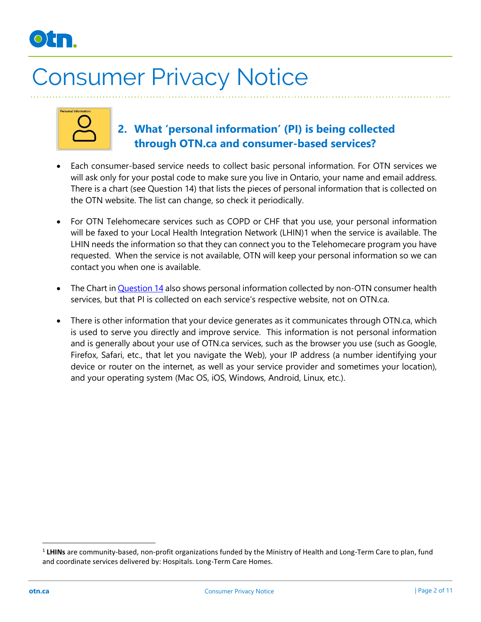

| Personal Information |  |
|----------------------|--|
|                      |  |
|                      |  |
|                      |  |
|                      |  |

#### **2. What 'personal information' (PI) is being collected through OTN.ca and consumer-based services?**

- Each consumer-based service needs to collect basic personal information. For OTN services we will ask only for your postal code to make sure you live in Ontario, your name and email address. There is a chart (see Question 14) that lists the pieces of personal information that is collected on the OTN website. The list can change, so check it periodically.
- For OTN Telehomecare services such as COPD or CHF that you use, your personal information will be faxed to your Local Health Integration Network (LHIN)1 when the service is available. The LHIN needs the information so that they can connect you to the Telehomecare program you have requested. When the service is not available, OTN will keep your personal information so we can contact you when one is available.
- The Chart in [Question 14](#page-9-0) also shows personal information collected by non-OTN consumer health services, but that PI is collected on each service's respective website, not on OTN.ca.
- There is other information that your device generates as it communicates through OTN.ca, which is used to serve you directly and improve service. This information is not personal information and is generally about your use of OTN.ca services, such as the browser you use (such as Google, Firefox, Safari, etc., that let you navigate the Web), your IP address (a number identifying your device or router on the internet, as well as your service provider and sometimes your location), and your operating system (Mac OS, iOS, Windows, Android, Linux, etc.).

<sup>&</sup>lt;sup>1</sup> LHINs are community-based, non-profit organizations funded by the Ministry of Health and Long-Term Care to plan, fund and coordinate services delivered by: Hospitals. Long-Term Care Homes.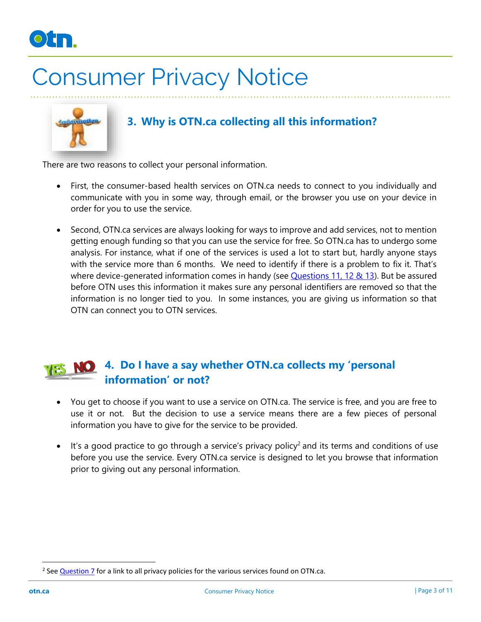



#### **3. Why is OTN.ca collecting all this information?**

There are two reasons to collect your personal information.

- First, the consumer-based health services on OTN.ca needs to connect to you individually and communicate with you in some way, through email, or the browser you use on your device in order for you to use the service.
- Second, OTN.ca services are always looking for ways to improve and add services, not to mention getting enough funding so that you can use the service for free. So OTN.ca has to undergo some analysis. For instance, what if one of the services is used a lot to start but, hardly anyone stays with the service more than 6 months. We need to identify if there is a problem to fix it. That's where device-generated information comes in handy (see **Questions 11, 12 & 13**). But be assured before OTN uses this information it makes sure any personal identifiers are removed so that the information is no longer tied to you. In some instances, you are giving us information so that OTN can connect you to OTN services.

#### **4. Do I have a say whether OTN.ca collects my 'personal**  NO<sub>.</sub> **information' or not?**

- You get to choose if you want to use a service on OTN.ca. The service is free, and you are free to use it or not. But the decision to use a service means there are a few pieces of personal information you have to give for the service to be provided.
- $\bullet$  It's a good practice to go through a service's privacy policy<sup>2</sup> and its terms and conditions of use before you use the service. Every OTN.ca service is designed to let you browse that information prior to giving out any personal information.

<sup>&</sup>lt;sup>2</sup> See <u>Question 7</u> for a link to all privacy policies for the various services found on OTN.ca.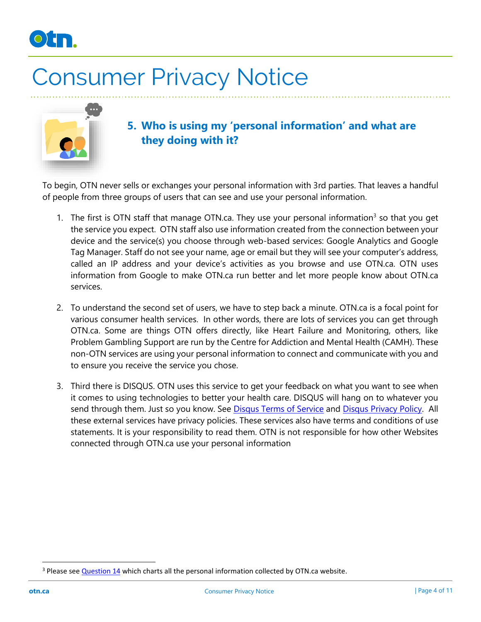



**5. Who is using my 'personal information' and what are they doing with it?**

To begin, OTN never sells or exchanges your personal information with 3rd parties. That leaves a handful of people from three groups of users that can see and use your personal information.

- 1. The first is OTN staff that manage OTN.ca. They use your personal information<sup>3</sup> so that you get the service you expect. OTN staff also use information created from the connection between your device and the service(s) you choose through web-based services: Google Analytics and Google Tag Manager. Staff do not see your name, age or email but they will see your computer's address, called an IP address and your device's activities as you browse and use OTN.ca. OTN uses information from Google to make OTN.ca run better and let more people know about OTN.ca services.
- 2. To understand the second set of users, we have to step back a minute. OTN.ca is a focal point for various consumer health services. In other words, there are lots of services you can get through OTN.ca. Some are things OTN offers directly, like Heart Failure and Monitoring, others, like Problem Gambling Support are run by the Centre for Addiction and Mental Health (CAMH). These non-OTN services are using your personal information to connect and communicate with you and to ensure you receive the service you chose.
- 3. Third there is DISQUS. OTN uses this service to get your feedback on what you want to see when it comes to using technologies to better your health care. DISQUS will hang on to whatever you send through them. Just so you know. See [Disqus Terms of Service](https://help.disqus.com/terms-and-policies/terms-of-service) and [Disqus Privacy Policy.](https://help.disqus.com/terms-and-policies/disqus-privacy-policy) All these external services have privacy policies. These services also have terms and conditions of use statements. It is your responsibility to read them. OTN is not responsible for how other Websites connected through OTN.ca use your personal information

<sup>&</sup>lt;sup>3</sup> Please see [Question 14](#page-9-0) which charts all the personal information collected by OTN.ca website.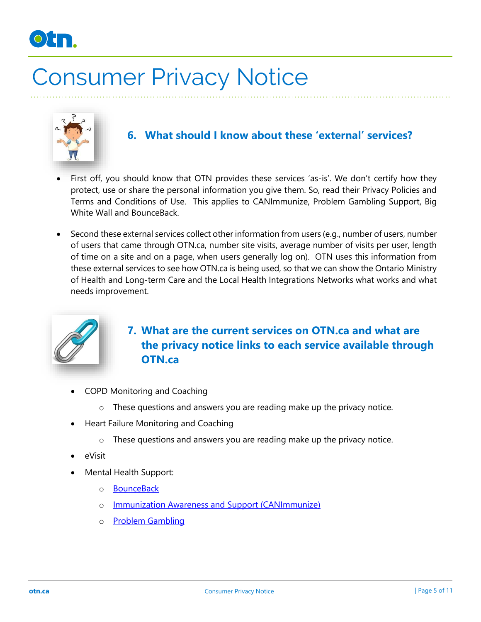



#### **6. What should I know about these 'external' services?**

- First off, you should know that OTN provides these services 'as-is'. We don't certify how they protect, use or share the personal information you give them. So, read their Privacy Policies and Terms and Conditions of Use. This applies to CANImmunize, Problem Gambling Support, Big White Wall and BounceBack.
- Second these external services collect other information from users (e.g., number of users, number of users that came through OTN.ca, number site visits, average number of visits per user, length of time on a site and on a page, when users generally log on). OTN uses this information from these external services to see how OTN.ca is being used, so that we can show the Ontario Ministry of Health and Long-term Care and the Local Health Integrations Networks what works and what needs improvement.



#### <span id="page-4-0"></span>**7. What are the current services on OTN.ca and what are the privacy notice links to each service available through OTN.ca**

- COPD Monitoring and Coaching
	- o These questions and answers you are reading make up the privacy notice.
- Heart Failure Monitoring and Coaching
	- o These questions and answers you are reading make up the privacy notice.
- eVisit
- Mental Health Support:
	- o **[BounceBack](https://bouncebackontario.ca/privacy/)**
	- o [Immunization Awareness and Support \(CANImmunize\)](https://www.canimmunize.ca/en/privacy-policy)
	- o [Problem Gambling](http://problemgambling.ca/gambling-help/website-privacy/)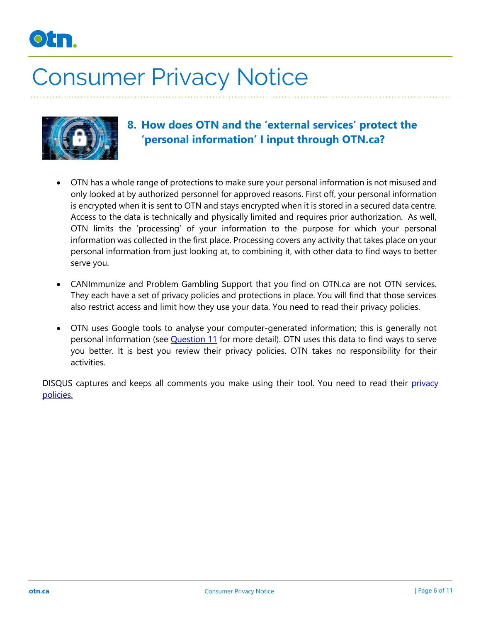



#### **8. How does OTN and the 'external services' protect the 'personal information' I input through OTN.ca?**

- OTN has a whole range of protections to make sure your personal information is not misused and only looked at by authorized personnel for approved reasons. First off, your personal information is encrypted when it is sent to OTN and stays encrypted when it is stored in a secured data centre. Access to the data is technically and physically limited and requires prior authorization. As well, OTN limits the 'processing' of your information to the purpose for which your personal information was collected in the first place. Processing covers any activity that takes place on your personal information from just looking at, to combining it, with other data to find ways to better serve you.
- CANImmunize and Problem Gambling Support that you find on OTN.ca are not OTN services. They each have a set of privacy policies and protections in place. You will find that those services also restrict access and limit how they use your data. You need to read their privacy policies.
- OTN uses Google tools to analyse your computer-generated information; this is generally not personal information (see *Question 11* for more detail). OTN uses this data to find ways to serve you better. It is best you review their privacy policies. OTN takes no responsibility for their activities.

DISQUS captures and keeps all comments you make using their tool. You need to read their privacy [policies.](https://help.disqus.com/terms-and-policies/disqus-privacy-policy)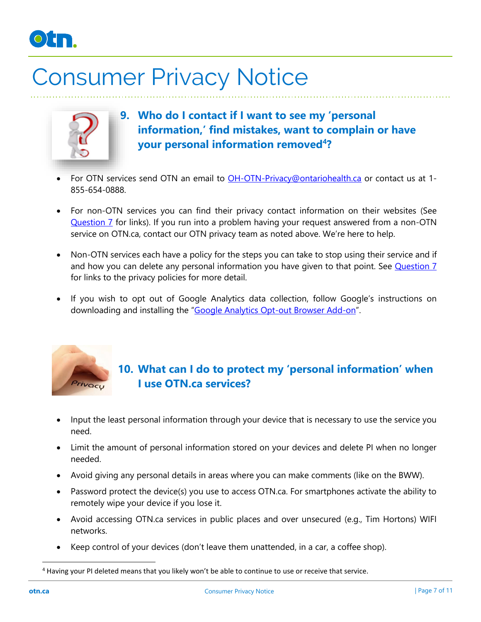

<span id="page-6-0"></span>

- **9. Who do I contact if I want to see my 'personal information,' find mistakes, want to complain or have your personal information removed<sup>4</sup> ?**
- For OTN services send OTN an email to [OH-OTN-Privacy@ontariohealth.ca](mailto:OH-OTN-Privacy@ontariohealth.ca) or contact us at 1- 855-654-0888.
- For non-OTN services you can find their privacy contact information on their websites (See [Question 7](#page-4-0) for links). If you run into a problem having your request answered from a non-OTN service on OTN.ca, contact our OTN privacy team as noted above. We're here to help.
- Non-OTN services each have a policy for the steps you can take to stop using their service and if and how you can delete any personal information you have given to that point. See [Question 7](#page-4-0) for links to the privacy policies for more detail.
- If you wish to opt out of Google Analytics data collection, follow Google's instructions on downloading and installing the "[Google Analytics Opt-out Browser Add-on](https://tools.google.com/dlpage/gaoptout)".



#### **10. What can I do to protect my 'personal information' when I use OTN.ca services?**

- Input the least personal information through your device that is necessary to use the service you need.
- Limit the amount of personal information stored on your devices and delete PI when no longer needed.
- Avoid giving any personal details in areas where you can make comments (like on the BWW).
- Password protect the device(s) you use to access OTN.ca. For smartphones activate the ability to remotely wipe your device if you lose it.
- Avoid accessing OTN.ca services in public places and over unsecured (e.g., Tim Hortons) WIFI networks.
- Keep control of your devices (don't leave them unattended, in a car, a coffee shop).

<sup>4</sup> Having your PI deleted means that you likely won't be able to continue to use or receive that service.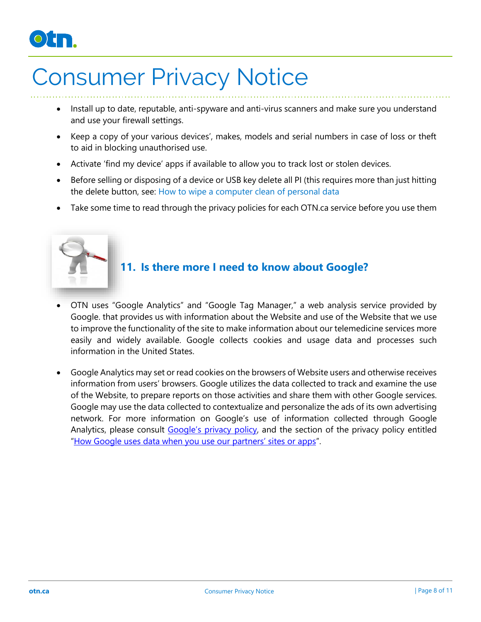### $\circ$ ) j

### Consumer Privacy Notice

- Install up to date, reputable, anti-spyware and anti-virus scanners and make sure you understand and use your firewall settings.
- Keep a copy of your various devices', makes, models and serial numbers in case of loss or theft to aid in blocking unauthorised use.
- Activate 'find my device' apps if available to allow you to track lost or stolen devices.
- Before selling or disposing of a device or USB key delete all PI (this requires more than just hitting the delete button, see: [How to wipe a computer clean of personal data](https://www.consumerreports.org/computers/how-to-wipe-a-computer-clean-of-personal-data/)
- Take some time to read through the privacy policies for each OTN.ca service before you use them

<span id="page-7-0"></span>

#### **11. Is there more I need to know about Google?**

- OTN uses "Google Analytics" and "Google Tag Manager," a web analysis service provided by Google. that provides us with information about the Website and use of the Website that we use to improve the functionality of the site to make information about our telemedicine services more easily and widely available. Google collects cookies and usage data and processes such information in the United States.
- Google Analytics may set or read cookies on the browsers of Website users and otherwise receives information from users' browsers. Google utilizes the data collected to track and examine the use of the Website, to prepare reports on those activities and share them with other Google services. Google may use the data collected to contextualize and personalize the ads of its own advertising network. For more information on Google's use of information collected through Google Analytics, please consult [Google's privacy policy](https://policies.google.com/privacy?hl=en), and the section of the privacy policy entitled "How Google us[es data when you use our partners' sites or apps"](https://policies.google.com/technologies/partner-sites).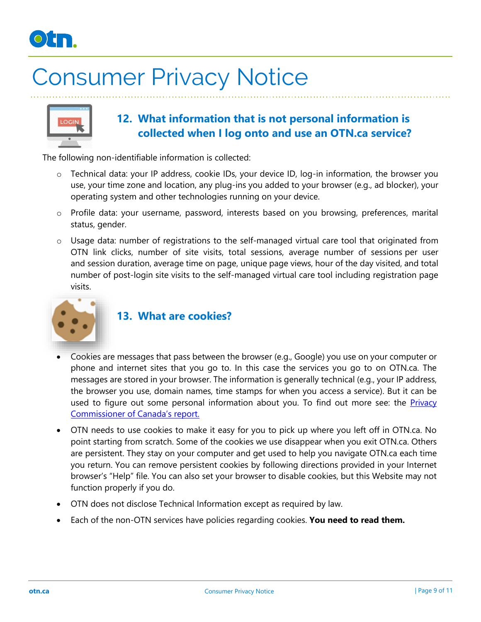



#### **12. What information that is not personal information is collected when I log onto and use an OTN.ca service?**

The following non-identifiable information is collected:

- o Technical data: your IP address, cookie IDs, your device ID, log-in information, the browser you use, your time zone and location, any plug-ins you added to your browser (e.g., ad blocker), your operating system and other technologies running on your device.
- o Profile data: your username, password, interests based on you browsing, preferences, marital status, gender.
- o Usage data: number of registrations to the self-managed virtual care tool that originated from OTN link clicks, number of site visits, total sessions, average number of sessions per user and session duration, average time on page, unique page views, hour of the day visited, and total number of post-login site visits to the self-managed virtual care tool including registration page visits.



#### **13. What are cookies?**

- Cookies are messages that pass between the browser (e.g., Google) you use on your computer or phone and internet sites that you go to. In this case the services you go to on OTN.ca. The messages are stored in your browser. The information is generally technical (e.g., your IP address, the browser you use, domain names, time stamps for when you access a service). But it can be used to figure out some personal information about you. To find out more see: the *Privacy* [Commissioner of Canada's repor](https://www.priv.gc.ca/en/opc-actions-and-decisions/research/explore-privacy-research/2013/ip_201305/)t.
- OTN needs to use cookies to make it easy for you to pick up where you left off in OTN.ca. No point starting from scratch. Some of the cookies we use disappear when you exit OTN.ca. Others are persistent. They stay on your computer and get used to help you navigate OTN.ca each time you return. You can remove persistent cookies by following directions provided in your Internet browser's "Help" file. You can also set your browser to disable cookies, but this Website may not function properly if you do.
- OTN does not disclose Technical Information except as required by law.
- Each of the non-OTN services have policies regarding cookies. **You need to read them.**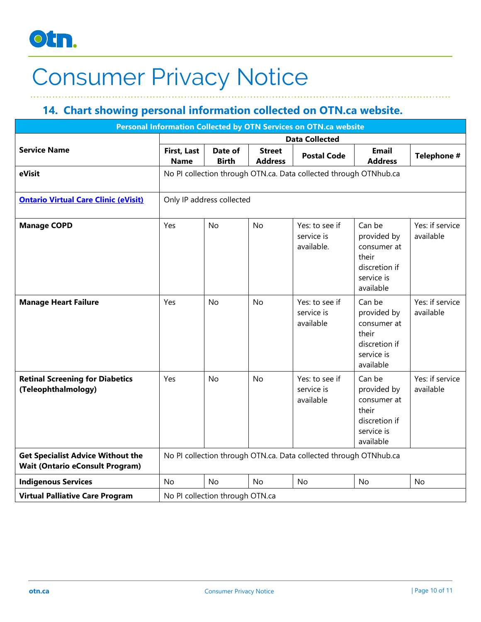

#### <span id="page-9-0"></span>**14. Chart showing personal information collected on OTN.ca website.**

| Personal Information Collected by OTN Services on OTN.ca website                   |                                                                   |                         |                                 |                                            |                                                                                           |                              |  |  |
|------------------------------------------------------------------------------------|-------------------------------------------------------------------|-------------------------|---------------------------------|--------------------------------------------|-------------------------------------------------------------------------------------------|------------------------------|--|--|
|                                                                                    | <b>Data Collected</b>                                             |                         |                                 |                                            |                                                                                           |                              |  |  |
| <b>Service Name</b>                                                                | First, Last<br><b>Name</b>                                        | Date of<br><b>Birth</b> | <b>Street</b><br><b>Address</b> | <b>Postal Code</b>                         | <b>Email</b><br><b>Address</b>                                                            | Telephone #                  |  |  |
| eVisit                                                                             | No PI collection through OTN.ca. Data collected through OTNhub.ca |                         |                                 |                                            |                                                                                           |                              |  |  |
| <b>Ontario Virtual Care Clinic (eVisit)</b>                                        | Only IP address collected                                         |                         |                                 |                                            |                                                                                           |                              |  |  |
| <b>Manage COPD</b>                                                                 | Yes                                                               | <b>No</b>               | <b>No</b>                       | Yes: to see if<br>service is<br>available. | Can be<br>provided by<br>consumer at<br>their<br>discretion if<br>service is<br>available | Yes: if service<br>available |  |  |
| <b>Manage Heart Failure</b>                                                        | Yes                                                               | <b>No</b>               | <b>No</b>                       | Yes: to see if<br>service is<br>available  | Can be<br>provided by<br>consumer at<br>their<br>discretion if<br>service is<br>available | Yes: if service<br>available |  |  |
| <b>Retinal Screening for Diabetics</b><br>(Teleophthalmology)                      | Yes                                                               | <b>No</b>               | <b>No</b>                       | Yes: to see if<br>service is<br>available  | Can be<br>provided by<br>consumer at<br>their<br>discretion if<br>service is<br>available | Yes: if service<br>available |  |  |
| <b>Get Specialist Advice Without the</b><br><b>Wait (Ontario eConsult Program)</b> | No PI collection through OTN.ca. Data collected through OTNhub.ca |                         |                                 |                                            |                                                                                           |                              |  |  |
| <b>Indigenous Services</b>                                                         | <b>No</b>                                                         | <b>No</b>               | <b>No</b>                       | <b>No</b>                                  | <b>No</b>                                                                                 | <b>No</b>                    |  |  |
| <b>Virtual Palliative Care Program</b>                                             | No PI collection through OTN.ca                                   |                         |                                 |                                            |                                                                                           |                              |  |  |